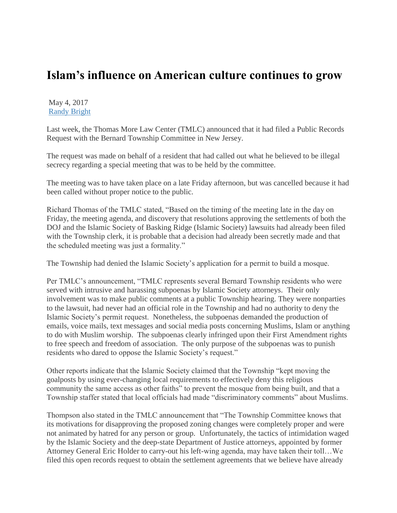## **Islam's influence on American culture continues to grow**

## May 4, 2017 [Randy Bright](http://tulsabeacon.com/author/randy-bright/)

Last week, the Thomas More Law Center (TMLC) announced that it had filed a Public Records Request with the Bernard Township Committee in New Jersey.

The request was made on behalf of a resident that had called out what he believed to be illegal secrecy regarding a special meeting that was to be held by the committee.

The meeting was to have taken place on a late Friday afternoon, but was cancelled because it had been called without proper notice to the public.

Richard Thomas of the TMLC stated, "Based on the timing of the meeting late in the day on Friday, the meeting agenda, and discovery that resolutions approving the settlements of both the DOJ and the Islamic Society of Basking Ridge (Islamic Society) lawsuits had already been filed with the Township clerk, it is probable that a decision had already been secretly made and that the scheduled meeting was just a formality."

The Township had denied the Islamic Society's application for a permit to build a mosque.

Per TMLC's announcement, "TMLC represents several Bernard Township residents who were served with intrusive and harassing subpoenas by Islamic Society attorneys. Their only involvement was to make public comments at a public Township hearing. They were nonparties to the lawsuit, had never had an official role in the Township and had no authority to deny the Islamic Society's permit request. Nonetheless, the subpoenas demanded the production of emails, voice mails, text messages and social media posts concerning Muslims, Islam or anything to do with Muslim worship. The subpoenas clearly infringed upon their First Amendment rights to free speech and freedom of association. The only purpose of the subpoenas was to punish residents who dared to oppose the Islamic Society's request."

Other reports indicate that the Islamic Society claimed that the Township "kept moving the goalposts by using ever-changing local requirements to effectively deny this religious community the same access as other faiths" to prevent the mosque from being built, and that a Township staffer stated that local officials had made "discriminatory comments" about Muslims.

Thompson also stated in the TMLC announcement that "The Township Committee knows that its motivations for disapproving the proposed zoning changes were completely proper and were not animated by hatred for any person or group. Unfortunately, the tactics of intimidation waged by the Islamic Society and the deep-state Department of Justice attorneys, appointed by former Attorney General Eric Holder to carry-out his left-wing agenda, may have taken their toll…We filed this open records request to obtain the settlement agreements that we believe have already